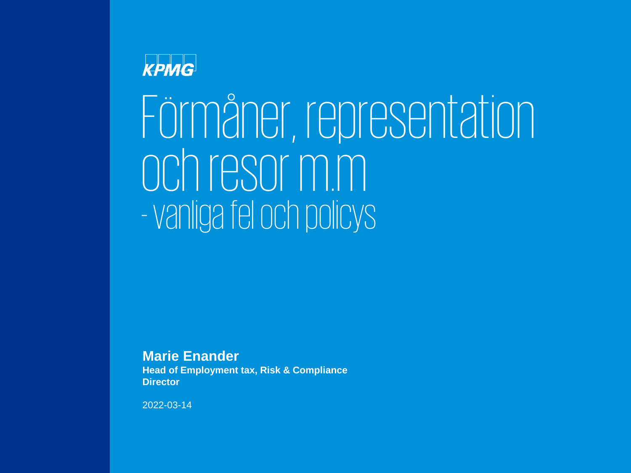### **KPMG**

# Förmåner, representation ochresor m.m - vanliga fel och policys

**Marie Enander**

**Head of Employment tax, Risk & Compliance Director**

2022-03-14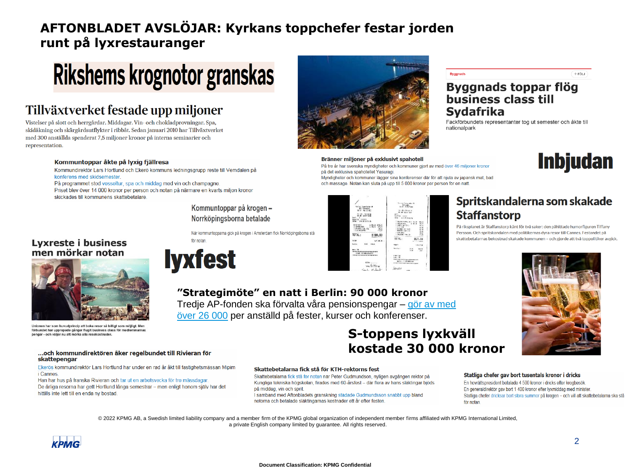### **AFTONBLADET AVSLÖJAR: Kyrkans toppchefer festar jorden runt på lyxrestauranger**

### Rikshems krognotor granskas

### Tillväxtverket festade upp miljoner

Vistelser på slott och herrgårdar. Middagar. Vin- och chokladprovningar. Spa, skidåkning och skärgårdsutflykter i ribbåt. Sedan januari 2010 har Tillväxtverket med 300 anställda spenderat 7,5 miljoner kronor på interna seminarier och representation.

#### Kommuntoppar åkte på Ivxig fjällresa

Kommundirektör Lars Hortlund och Ekerö kommuns ledningsgrupp reste till Vemdalen på konferens med skidsemester.

På programmet stod vesseltur, spa och middag med vin och champagne.

Priset blev över 14 000 kronor per person och notan på närmare en kvarts miljon kronor skickades till kommunens skattebetalare.





#### Byggnads toppar flög business class till **Sydafrika**

**Byggnads** 

Fackförbundets representanter tog ut semester och åkte till nationalpark

#### Bränner miljoner på exklusivt spahotell

På tre år har svenska myndigheter och kommuner gjort av med över 46 miljoner kronor på det exklusiva spahotellet Yasuragi. .<br>Myndigheter och kommuner lägger sina konferenser där för att njuta av japansk mat, bad

och massage. Notan kan sluta på upp till 5 000 kronor per person för en natt.



#### Spritskandalerna som skakade **Staffanstorp**

På riksplanet är Staffanstorp känt för två saker: den påhittade humorfiguren Tiffany Persson. Och spritskandalen med politikernas dyra resor till Cannes. Festandet på skattebetalarnas bekostnad skakade kommunen - och gjorde att två toppolitiker avgick.



 $+$  FOLJ

**Inbjudan** 

#### **"Strategimöte" en natt i Berlin: 90 000 kronor** [Tredje AP-fonden ska förvalta våra pensionspengar –](https://www.aftonbladet.se/nyheter/a/1JwgM/korde-bilbana-och-bowlade--for-57-000-kr) gör av med

över 26 000 per anställd på fester, kurser och konferenser.

#### **S-toppens lyxkväll kostade 30 000 kronor**

#### Statliga chefer gav bort tusentals kronor i dricks

En hovrättspresident betalade 4 500 kronor i dricks efter krogbesök. En generaldirektör gav bort 1 400 kronor efter lyxmiddag med minister. Statliga chefer dricksar bort stora summor på krogen - och vill att skattebetalarna ska stå för notan.

© 2022 KPMG AB, a Swedish limited liability company and a member firm of the KPMG global organization of independent member firms affiliated with KPMG International Limited, a private English company limited by guarantee. All rights reserved.



### När kommuntopparna gick på krogen i Amsterdam fick Norrköpingsborna stå för notan.

### Skattebetalarna fick stå för KTH-rektorns fest

#### Skattebetalarna fick stå för notan när Peter Gudmundson, nyligen avgången rektor på Kungliga tekniska högskolan, firades med 60-årsfest - där flera av hans släktingar bjöds

på middag, vin och sprit I samband med Aftonbladets granskning städade Gudmundsson snabbt upp bland notorna och betalade släktingarnas kostnader ett år efter festen

Kommuntoppar på krogen -Norrköpingsborna betalade





Unionen har som huvudprincip att boka resor så billigt som möjligt. Men förbundet har upprepade gånger flugit business class för medlemmarnas - och väljer nu att mörka alla resekostnader

#### ... och kommundirektören åker regelbundet till Rivieran för skattepengar

Ekerös kommundirektör Lars Hortlund har under en rad år åkt till fastighetsmässan Mipim *i* Cannes

Han har hus på franska Rivieran och tar ut en arbetsvecka för tre mässdagar De årliga resorna har gett Hortlund långa semestrar - men enligt honom själv har det

hittills inte lett till en enda ny bostad.

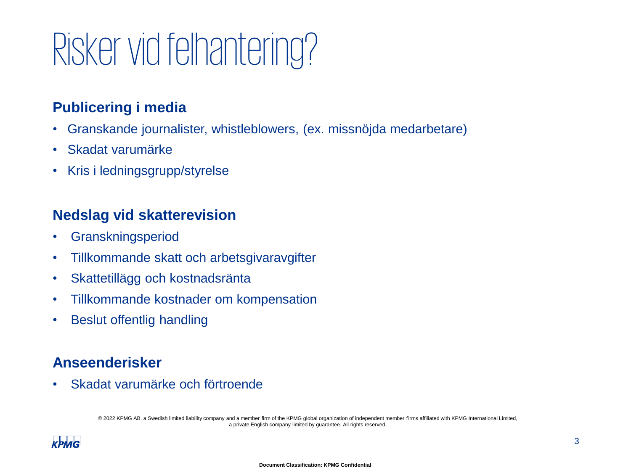# Risker vid felhantering?

### **Publicering i media**

- Granskande journalister, whistleblowers, (ex. missnöjda medarbetare)
- Skadat varumärke
- Kris i ledningsgrupp/styrelse

### **Nedslag vid skatterevision**

- Granskningsperiod
- Tillkommande skatt och arbetsgivaravgifter
- Skattetillägg och kostnadsränta
- Tillkommande kostnader om kompensation
- Beslut offentlig handling

### **Anseenderisker**

• Skadat varumärke och förtroende

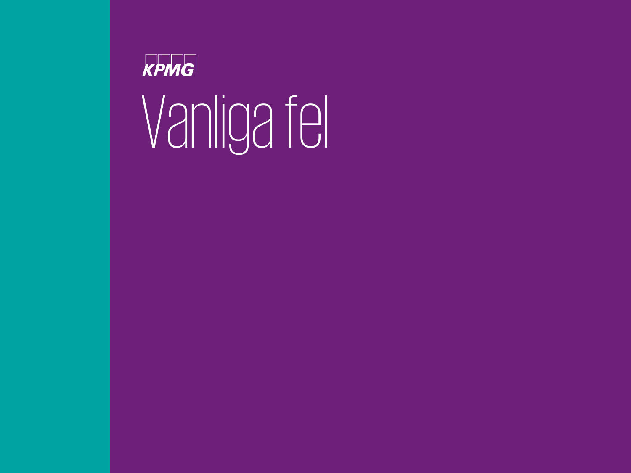

# Vanliga fel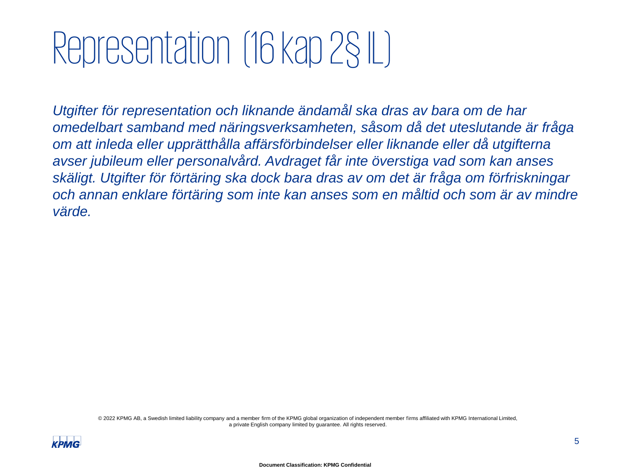### Representation (16 kap 2§IL)

*Utgifter för representation och liknande ändamål ska dras av bara om de har omedelbart samband med näringsverksamheten, såsom då det uteslutande är fråga om att inleda eller upprätthålla affärsförbindelser eller liknande eller då utgifterna avser jubileum eller personalvård. Avdraget får inte överstiga vad som kan anses skäligt. Utgifter för förtäring ska dock bara dras av om det är fråga om förfriskningar och annan enklare förtäring som inte kan anses som en måltid och som är av mindre värde.*

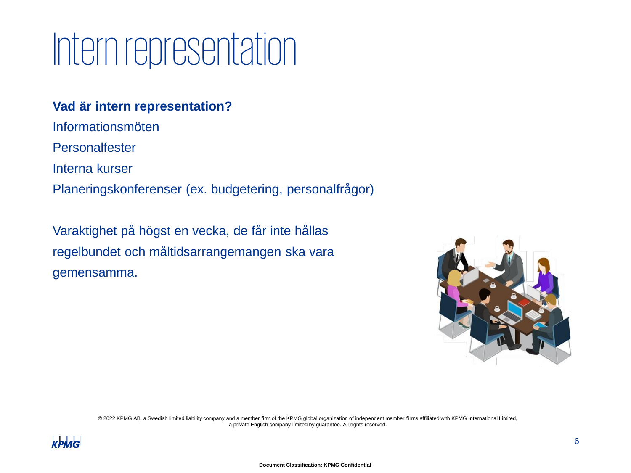### Intern representation

#### **Vad är intern representation?**

Informationsmöten **Personalfester** Interna kurser Planeringskonferenser (ex. budgetering, personalfrågor)

Varaktighet på högst en vecka, de får inte hållas regelbundet och måltidsarrangemangen ska vara gemensamma.



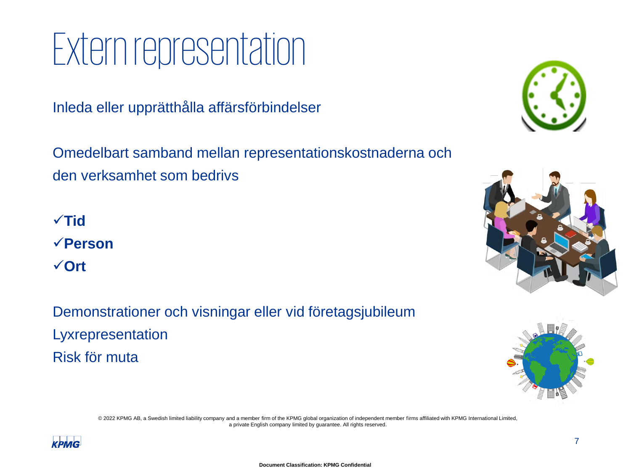### Extern representation

Inleda eller upprätthålla affärsförbindelser

Omedelbart samband mellan representationskostnaderna och den verksamhet som bedrivs

✓**Tid** ✓**Person** ✓**Ort**

Demonstrationer och visningar eller vid företagsjubileum Lyxrepresentation Risk för muta







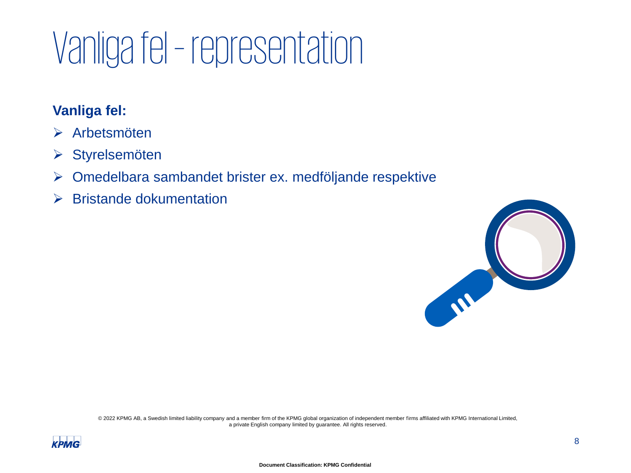## Vanligafel – representation

### **Vanliga fel:**

- ➢ Arbetsmöten
- ➢ Styrelsemöten
- ➢ Omedelbara sambandet brister ex. medföljande respektive
- ➢ Bristande dokumentation



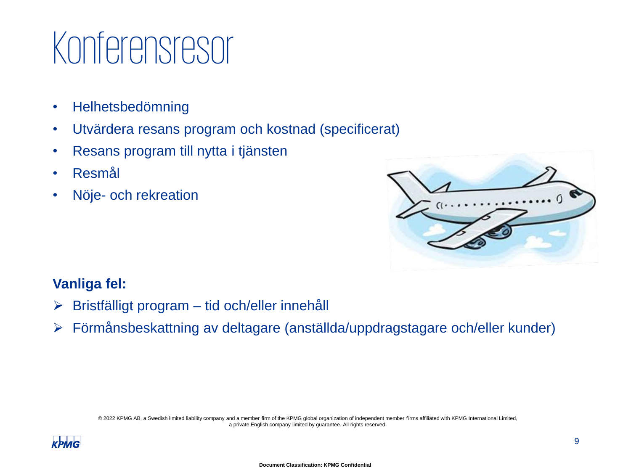### Konferensresor

- Helhetsbedömning
- Utvärdera resans program och kostnad (specificerat)
- Resans program till nytta i tjänsten
- Resmål
- Nöje- och rekreation



### **Vanliga fel:**

- ➢ Bristfälligt program tid och/eller innehåll
- ➢ Förmånsbeskattning av deltagare (anställda/uppdragstagare och/eller kunder)

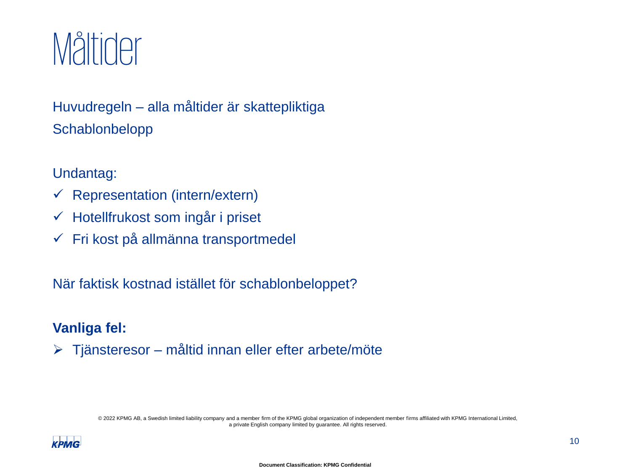

### Huvudregeln – alla måltider är skattepliktiga **Schablonbelopp**

#### Undantag:

- $\checkmark$  Representation (intern/extern)
- ✓ Hotellfrukost som ingår i priset
- ✓ Fri kost på allmänna transportmedel

När faktisk kostnad istället för schablonbeloppet?

### **Vanliga fel:**

➢ Tjänsteresor – måltid innan eller efter arbete/möte

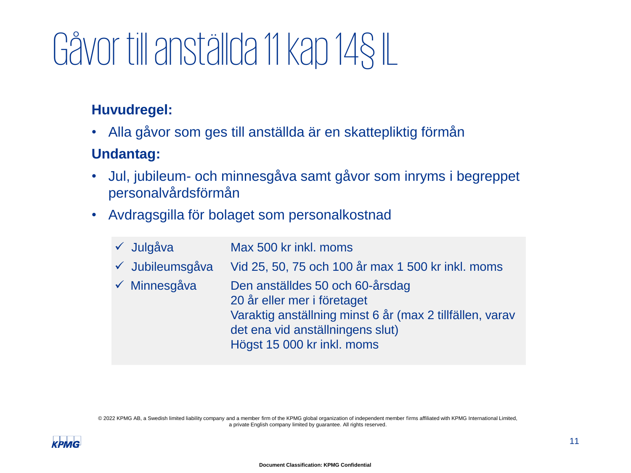## Gåvor till anställda 11 kap 14§IL

### **Huvudregel:**

• Alla gåvor som ges till anställda är en skattepliktig förmån

### **Undantag:**

- Jul, jubileum- och minnesgåva samt gåvor som inryms i begreppet personalvårdsförmån
- Avdragsgilla för bolaget som personalkostnad

| √ Julgåva       | Max 500 kr inkl. moms                                                                                                                                                                        |
|-----------------|----------------------------------------------------------------------------------------------------------------------------------------------------------------------------------------------|
| ✓ Jubileumsgåva | Vid 25, 50, 75 och 100 år max 1 500 kr inkl. moms                                                                                                                                            |
| √ Minnesgåva    | Den anställdes 50 och 60-årsdag<br>20 år eller mer i företaget<br>Varaktig anställning minst 6 år (max 2 tillfällen, varav<br>det ena vid anställningens slut)<br>Högst 15 000 kr inkl. moms |

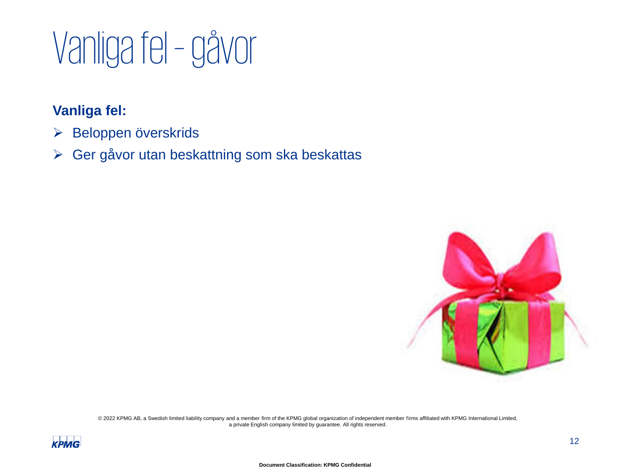### Vanligafel –gåvor

### **Vanliga fel:**

- ➢ Beloppen överskrids
- ➢ Ger gåvor utan beskattning som ska beskattas



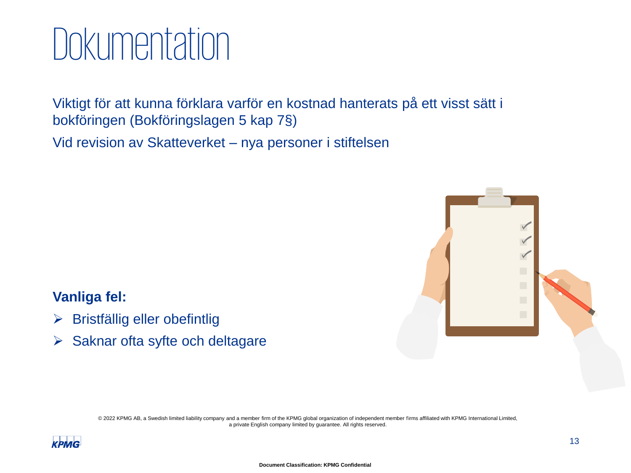### **Dokumentation**

Viktigt för att kunna förklara varför en kostnad hanterats på ett visst sätt i bokföringen (Bokföringslagen 5 kap 7§)

Vid revision av Skatteverket – nya personer i stiftelsen



### **Vanliga fel:**

- ➢ Bristfällig eller obefintlig
- ➢ Saknar ofta syfte och deltagare

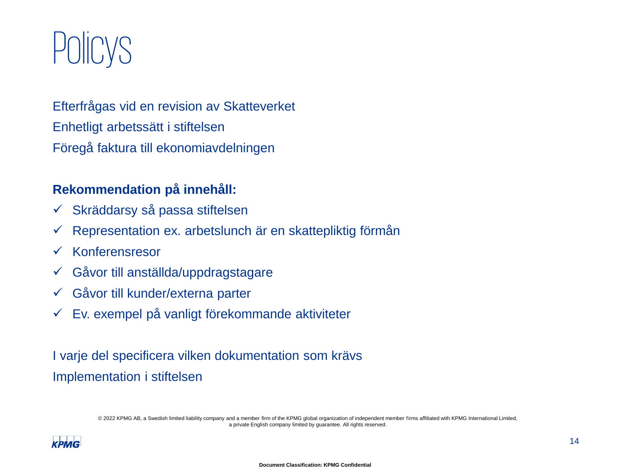### **POIICYS**

Efterfrågas vid en revision av Skatteverket Enhetligt arbetssätt i stiftelsen Föregå faktura till ekonomiavdelningen

#### **Rekommendation på innehåll:**

- ✓ Skräddarsy så passa stiftelsen
- $\checkmark$  Representation ex. arbetslunch är en skattepliktig förmån
- ✓ Konferensresor
- ✓ Gåvor till anställda/uppdragstagare
- ✓ Gåvor till kunder/externa parter
- $\checkmark$  Ev. exempel på vanligt förekommande aktiviteter

I varje del specificera vilken dokumentation som krävs Implementation i stiftelsen

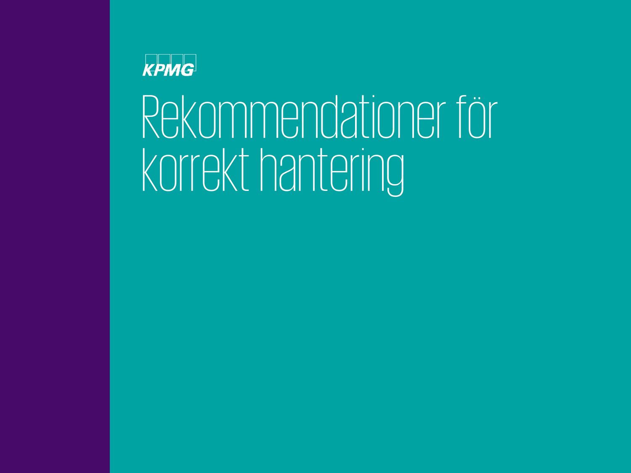### KPMG

# Rekommendationer för korrekt hantering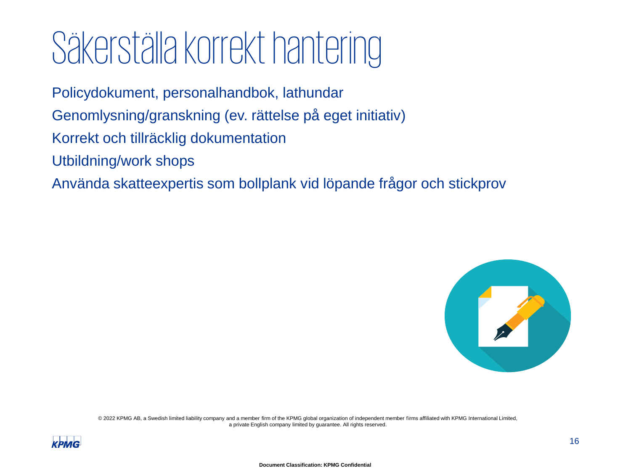### Säkerställa korrekt hantering

Policydokument, personalhandbok, lathundar

Genomlysning/granskning (ev. rättelse på eget initiativ)

- Korrekt och tillräcklig dokumentation
- Utbildning/work shops

Använda skatteexpertis som bollplank vid löpande frågor och stickprov



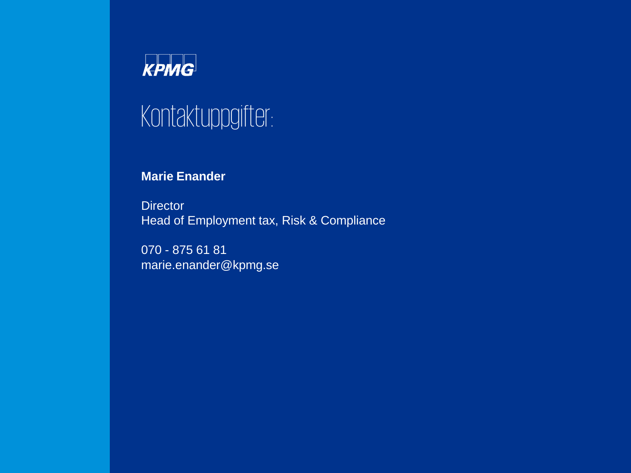

### Kontaktuppgifter:

#### **Marie Enander**

**Director** Head of Employment tax, Risk & Compliance

070 - 875 61 81 marie.enander@kpmg.se